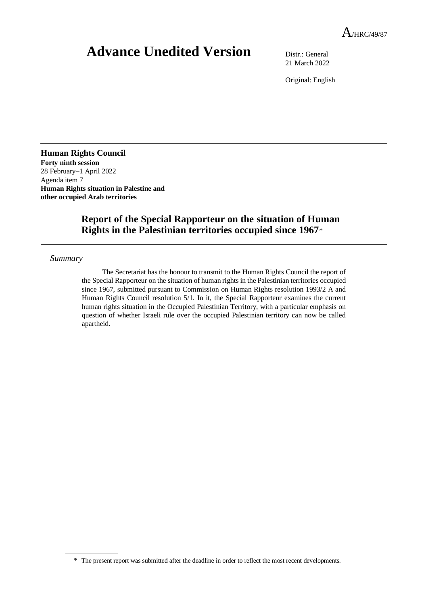# **Advance Unedited Version** Distr.: General

21 March 2022

Original: English

### **Human Rights Council Forty ninth session** 28 February–1 April 2022

Agenda item 7 **Human Rights situation in Palestine and other occupied Arab territories**

## **Report of the Special Rapporteur on the situation of Human Rights in the Palestinian territories occupied since 1967**\*

#### *Summary*

The Secretariat has the honour to transmit to the Human Rights Council the report of the Special Rapporteur on the situation of human rights in the Palestinian territories occupied since 1967, submitted pursuant to Commission on Human Rights resolution 1993/2 A and Human Rights Council resolution 5/1. In it, the Special Rapporteur examines the current human rights situation in the Occupied Palestinian Territory, with a particular emphasis on question of whether Israeli rule over the occupied Palestinian territory can now be called apartheid.

<sup>\*</sup> The present report was submitted after the deadline in order to reflect the most recent developments.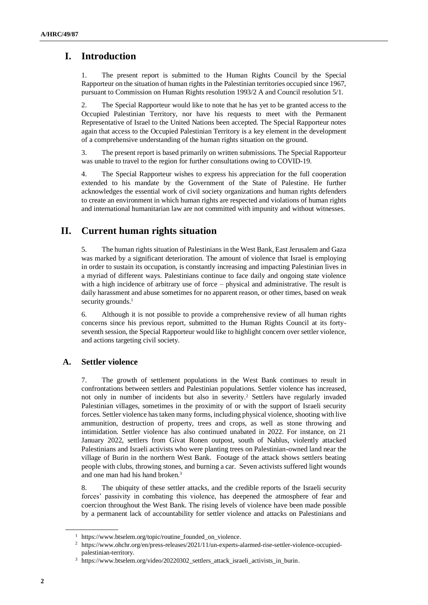## **I. Introduction**

1. The present report is submitted to the Human Rights Council by the Special Rapporteur on the situation of human rights in the Palestinian territories occupied since 1967, pursuant to Commission on Human Rights resolution 1993/2 A and Council resolution 5/1.

2. The Special Rapporteur would like to note that he has yet to be granted access to the Occupied Palestinian Territory, nor have his requests to meet with the Permanent Representative of Israel to the United Nations been accepted. The Special Rapporteur notes again that access to the Occupied Palestinian Territory is a key element in the development of a comprehensive understanding of the human rights situation on the ground.

3. The present report is based primarily on written submissions. The Special Rapporteur was unable to travel to the region for further consultations owing to COVID-19.

4. The Special Rapporteur wishes to express his appreciation for the full cooperation extended to his mandate by the Government of the State of Palestine. He further acknowledges the essential work of civil society organizations and human rights defenders to create an environment in which human rights are respected and violations of human rights and international humanitarian law are not committed with impunity and without witnesses.

## **II. Current human rights situation**

5. The human rights situation of Palestinians in the West Bank, East Jerusalem and Gaza was marked by a significant deterioration. The amount of violence that Israel is employing in order to sustain its occupation, is constantly increasing and impacting Palestinian lives in a myriad of different ways. Palestinians continue to face daily and ongoing state violence with a high incidence of arbitrary use of force – physical and administrative. The result is daily harassment and abuse sometimes for no apparent reason, or other times, based on weak security grounds.<sup>1</sup>

6. Although it is not possible to provide a comprehensive review of all human rights concerns since his previous report, submitted to the Human Rights Council at its fortyseventh session, the Special Rapporteur would like to highlight concern over settler violence, and actions targeting civil society.

## **A. Settler violence**

7. The growth of settlement populations in the West Bank continues to result in confrontations between settlers and Palestinian populations. Settler violence has increased, not only in number of incidents but also in severity.<sup>2</sup> Settlers have regularly invaded Palestinian villages, sometimes in the proximity of or with the support of Israeli security forces. Settler violence has taken many forms, including physical violence, shooting with live ammunition, destruction of property, trees and crops, as well as stone throwing and intimidation. Settler violence has also continued unabated in 2022. For instance, on 21 January 2022, settlers from Givat Ronen outpost, south of Nablus, violently attacked Palestinians and Israeli activists who were planting trees on Palestinian-owned land near the village of Burin in the northern West Bank. Footage of the attack shows settlers beating people with clubs, throwing stones, and burning a car. Seven activists suffered light wounds and one man had his hand broken.<sup>3</sup>

8. The ubiquity of these settler attacks, and the credible reports of the Israeli security forces' passivity in combating this violence, has deepened the atmosphere of fear and coercion throughout the West Bank. The rising levels of violence have been made possible by a permanent lack of accountability for settler violence and attacks on Palestinians and

<sup>1</sup> https://www.btselem.org/topic/routine\_founded\_on\_violence.

<sup>2</sup> https://www.ohchr.org/en/press-releases/2021/11/un-experts-alarmed-rise-settler-violence-occupiedpalestinian-territory.

<sup>3</sup> https://www.btselem.org/video/20220302\_settlers\_attack\_israeli\_activists\_in\_burin.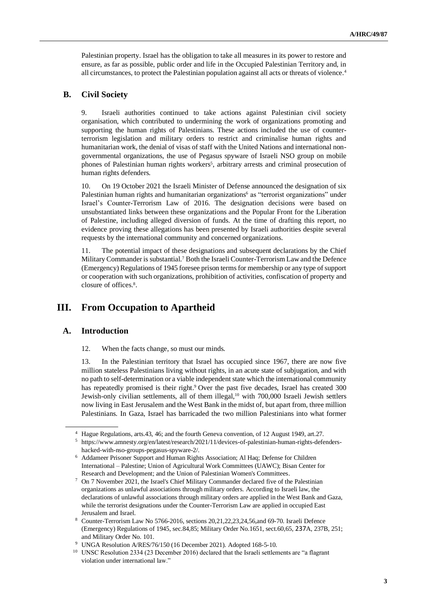Palestinian property. Israel has the obligation to take all measures in its power to restore and ensure, as far as possible, public order and life in the Occupied Palestinian Territory and, in all circumstances, to protect the Palestinian population against all acts or threats of violence.<sup>4</sup>

### **B. Civil Society**

9. Israeli authorities continued to take actions against Palestinian civil society organisation, which contributed to undermining the work of organizations promoting and supporting the human rights of Palestinians. These actions included the use of counterterrorism legislation and military orders to restrict and criminalise human rights and humanitarian work, the denial of visas of staff with the United Nations and international nongovernmental organizations, the use of Pegasus spyware of Israeli NSO group on mobile phones of Palestinian human rights workers<sup>5</sup>, arbitrary arrests and criminal prosecution of human rights defenders.

10. On 19 October 2021 the Israeli Minister of Defense announced the designation of six Palestinian human rights and humanitarian organizations<sup>6</sup> as "terrorist organizations" under Israel's Counter-Terrorism Law of 2016. The designation decisions were based on unsubstantiated links between these organizations and the Popular Front for the Liberation of Palestine, including alleged diversion of funds. At the time of drafting this report, no evidence proving these allegations has been presented by Israeli authorities despite several requests by the international community and concerned organizations.

11. The potential impact of these designations and subsequent declarations by the Chief Military Commander is substantial.<sup>7</sup> Both the Israeli Counter-Terrorism Law and the Defence (Emergency) Regulations of 1945 foresee prison terms for membership or any type of support or cooperation with such organizations, prohibition of activities, confiscation of property and closure of offices.<sup>8</sup>.

## **III. From Occupation to Apartheid**

### **A. Introduction**

12. When the facts change, so must our minds.

13. In the Palestinian territory that Israel has occupied since 1967, there are now five million stateless Palestinians living without rights, in an acute state of subjugation, and with no path to self-determination or a viable independent state which the international community has repeatedly promised is their right. <sup>9</sup> Over the past five decades, Israel has created 300 Jewish-only civilian settlements, all of them illegal,<sup>10</sup> with 700,000 Israeli Jewish settlers now living in East Jerusalem and the West Bank in the midst of, but apart from, three million Palestinians. In Gaza, Israel has barricaded the two million Palestinians into what former

<sup>&</sup>lt;sup>4</sup> Hague Regulations, arts.43, 46; and the fourth Geneva convention, of 12 August 1949, art.27.

<sup>5</sup> https://www.amnesty.org/en/latest/research/2021/11/devices-of-palestinian-human-rights-defendershacked-with-nso-groups-pegasus-spyware-2/.

<sup>6</sup> Addameer Prisoner Support and Human Rights Association; Al Haq; Defense for Children International – Palestine; Union of Agricultural Work Committees (UAWC); Bisan Center for Research and Development; and the Union of Palestinian Women's Committees.

<sup>7</sup> On 7 November 2021, the Israel's Chief Military Commander declared five of the Palestinian organizations as unlawful associations through military orders. According to Israeli law, the declarations of unlawful associations through military orders are applied in the West Bank and Gaza, while the terrorist designations under the Counter-Terrorism Law are applied in occupied East Jerusalem and Israel.

<sup>8</sup> Counter-Terrorism Law No 5766-2016, sections 20,21,22,23,24,56,and 69-70. Israeli Defence (Emergency) Regulations of 1945, sec.84,85; Military Order No.1651, sect.60,65, 237A, 237B, 251; and Military Order No. 101.

<sup>9</sup> UNGA Resolution A/RES/76/150 (16 December 2021). Adopted 168-5-10.

<sup>&</sup>lt;sup>10</sup> UNSC Resolution 2334 (23 December 2016) declared that the Israeli settlements are "a flagrant violation under international law."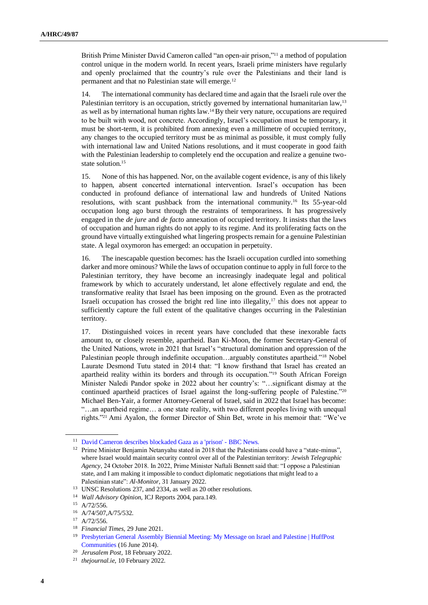British Prime Minister David Cameron called "an open-air prison,"<sup>11</sup> a method of population control unique in the modern world. In recent years, Israeli prime ministers have regularly and openly proclaimed that the country's rule over the Palestinians and their land is permanent and that no Palestinian state will emerge.<sup>12</sup>

14. The international community has declared time and again that the Israeli rule over the Palestinian territory is an occupation, strictly governed by international humanitarian law,<sup>13</sup> as well as by international human rights law.<sup>14</sup> By their very nature, occupations are required to be built with wood, not concrete. Accordingly, Israel's occupation must be temporary, it must be short-term, it is prohibited from annexing even a millimetre of occupied territory, any changes to the occupied territory must be as minimal as possible, it must comply fully with international law and United Nations resolutions, and it must cooperate in good faith with the Palestinian leadership to completely end the occupation and realize a genuine twostate solution.<sup>15</sup>

15. None of this has happened. Nor, on the available cogent evidence, is any of this likely to happen, absent concerted international intervention. Israel's occupation has been conducted in profound defiance of international law and hundreds of United Nations resolutions, with scant pushback from the international community.<sup>16</sup> Its 55-year-old occupation long ago burst through the restraints of temporariness. It has progressively engaged in the *de jure* and *de facto* annexation of occupied territory. It insists that the laws of occupation and human rights do not apply to its regime. And its proliferating facts on the ground have virtually extinguished what lingering prospects remain for a genuine Palestinian state. A legal oxymoron has emerged: an occupation in perpetuity.

16. The inescapable question becomes: has the Israeli occupation curdled into something darker and more ominous? While the laws of occupation continue to apply in full force to the Palestinian territory, they have become an increasingly inadequate legal and political framework by which to accurately understand, let alone effectively regulate and end, the transformative reality that Israel has been imposing on the ground. Even as the protracted Israeli occupation has crossed the bright red line into illegality, $17$  this does not appear to sufficiently capture the full extent of the qualitative changes occurring in the Palestinian territory.

17. Distinguished voices in recent years have concluded that these inexorable facts amount to, or closely resemble, apartheid. Ban Ki-Moon, the former Secretary-General of the United Nations, wrote in 2021 that Israel's "structural domination and oppression of the Palestinian people through indefinite occupation…arguably constitutes apartheid."<sup>18</sup> Nobel Laurate Desmond Tutu stated in 2014 that: "I know firsthand that Israel has created an apartheid reality within its borders and through its occupation."<sup>19</sup> South African Foreign Minister Naledi Pandor spoke in 2022 about her country's: "…significant dismay at the continued apartheid practices of Israel against the long-suffering people of Palestine."<sup>20</sup> Michael Ben-Yair, a former Attorney-General of Israel, said in 2022 that Israel has become: "…an apartheid regime… a one state reality, with two different peoples living with unequal rights."<sup>21</sup> Ami Ayalon, the former Director of Shin Bet, wrote in his memoir that: "We've

<sup>11</sup> [David Cameron describes blockaded Gaza as a 'prison' -](https://www.bbc.com/news/world-middle-east-10778110) BBC News.

<sup>&</sup>lt;sup>12</sup> Prime Minister Benjamin Netanyahu stated in 2018 that the Palestinians could have a "state-minus", where Israel would maintain security control over all of the Palestinian territory: *Jewish Telegraphic Agency*, 24 October 2018. In 2022, Prime Minister Naftali Bennett said that: "I oppose a Palestinian state, and I am making it impossible to conduct diplomatic negotiations that might lead to a Palestinian state": *Al-Monitor*, 31 January 2022.

<sup>13</sup> UNSC Resolutions 237, and 2334, as well as 20 other resolutions.

<sup>14</sup> *Wall Advisory Opinion,* ICJ Reports 2004, para.149.

<sup>15</sup> A/72/556.

<sup>16</sup> A/74/507,A/75/532.

<sup>17</sup> A/72/556.

<sup>18</sup> *Financial Times*, 29 June 2021.

<sup>19</sup> [Presbyterian General Assembly Biennial Meeting: My Message on Israel and Palestine | HuffPost](https://www.huffpost.com/entry/presbyterian-general-assembly_b_5499395)  [Communities](https://www.huffpost.com/entry/presbyterian-general-assembly_b_5499395) (16 June 2014).

<sup>20</sup> *Jerusalem Post*, 18 February 2022.

<sup>21</sup> *thejournal.ie,* 10 February 2022.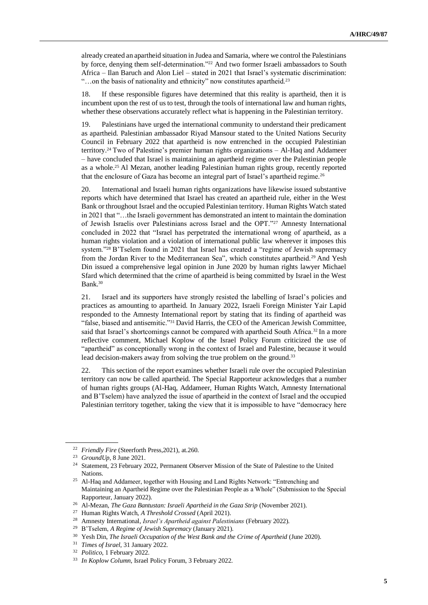already created an apartheid situation in Judea and Samaria, where we control the Palestinians by force, denying them self-determination."<sup>22</sup> And two former Israeli ambassadors to South Africa – Ilan Baruch and Alon Liel – stated in 2021 that Israel's systematic discrimination: "...on the basis of nationality and ethnicity" now constitutes apartheid.<sup>23</sup>

18. If these responsible figures have determined that this reality is apartheid, then it is incumbent upon the rest of us to test, through the tools of international law and human rights, whether these observations accurately reflect what is happening in the Palestinian territory.

19. Palestinians have urged the international community to understand their predicament as apartheid. Palestinian ambassador Riyad Mansour stated to the United Nations Security Council in February 2022 that apartheid is now entrenched in the occupied Palestinian territory.<sup>24</sup> Two of Palestine's premier human rights organizations – Al-Haq and Addameer – have concluded that Israel is maintaining an apartheid regime over the Palestinian people as a whole.<sup>25</sup> Al Mezan, another leading Palestinian human rights group, recently reported that the enclosure of Gaza has become an integral part of Israel's apartheid regime.<sup>26</sup>

20. International and Israeli human rights organizations have likewise issued substantive reports which have determined that Israel has created an apartheid rule, either in the West Bank or throughout Israel and the occupied Palestinian territory. Human Rights Watch stated in 2021 that "…the Israeli government has demonstrated an intent to maintain the domination of Jewish Israelis over Palestinians across Israel and the OPT."<sup>27</sup> Amnesty International concluded in 2022 that "Israel has perpetrated the international wrong of apartheid, as a human rights violation and a violation of international public law wherever it imposes this system."<sup>28</sup> B'Tselem found in 2021 that Israel has created a "regime of Jewish supremacy from the Jordan River to the Mediterranean Sea", which constitutes apartheid.<sup>29</sup> And Yesh Din issued a comprehensive legal opinion in June 2020 by human rights lawyer Michael Sfard which determined that the crime of apartheid is being committed by Israel in the West Bank.<sup>30</sup>

21. Israel and its supporters have strongly resisted the labelling of Israel's policies and practices as amounting to apartheid. In January 2022, Israeli Foreign Minister Yair Lapid responded to the Amnesty International report by stating that its finding of apartheid was "false, biased and antisemitic."<sup>31</sup> David Harris, the CEO of the American Jewish Committee, said that Israel's shortcomings cannot be compared with apartheid South Africa.<sup>32</sup> In a more reflective comment, Michael Koplow of the Israel Policy Forum criticized the use of "apartheid" as conceptionally wrong in the context of Israel and Palestine, because it would lead decision-makers away from solving the true problem on the ground.<sup>33</sup>

22. This section of the report examines whether Israeli rule over the occupied Palestinian territory can now be called apartheid. The Special Rapporteur acknowledges that a number of human rights groups (Al-Haq, Addameer, Human Rights Watch, Amnesty International and B'Tselem) have analyzed the issue of apartheid in the context of Israel and the occupied Palestinian territory together, taking the view that it is impossible to have "democracy here

<sup>22</sup> *Friendly Fire* (Steerforth Press,2021), at.260.

<sup>23</sup> *GroundUp*, 8 June 2021.

<sup>&</sup>lt;sup>24</sup> Statement, 23 February 2022, Permanent Observer Mission of the State of Palestine to the United Nations.

<sup>&</sup>lt;sup>25</sup> Al-Haq and Addameer, together with Housing and Land Rights Network: "Entrenching and Maintaining an Apartheid Regime over the Palestinian People as a Whole" (Submission to the Special Rapporteur, January 2022).

<sup>26</sup> Al-Mezan, *The Gaza Bantustan: Israeli Apartheid in the Gaza Strip* (November 2021).

<sup>27</sup> Human Rights Watch, *A Threshold Crossed* (April 2021).

<sup>28</sup> Amnesty International, *Israel's Apartheid against Palestinians* (February 2022).

<sup>29</sup> B'Tselem, *A Regime of Jewish Supremacy* (January 2021).

<sup>30</sup> Yesh Din, *The Israeli Occupation of the West Bank and the Crime of Apartheid* (June 2020).

<sup>31</sup> *Times of Israel*, 31 January 2022.

<sup>32</sup> *Politico*, 1 February 2022.

<sup>33</sup> *In Koplow Column*, Israel Policy Forum, 3 February 2022.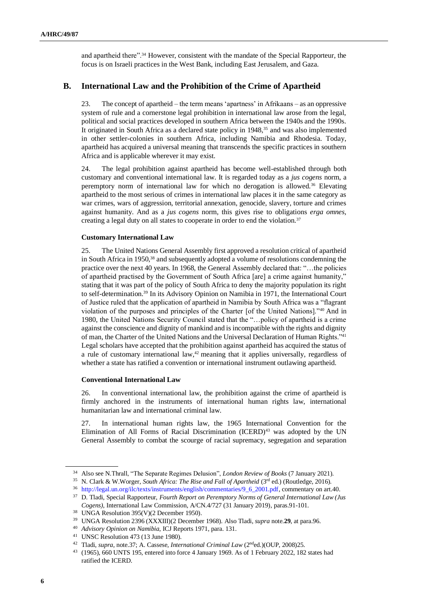and apartheid there".<sup>34</sup> However, consistent with the mandate of the Special Rapporteur, the focus is on Israeli practices in the West Bank, including East Jerusalem, and Gaza.

## **B. International Law and the Prohibition of the Crime of Apartheid**

23. The concept of apartheid – the term means 'apartness' in Afrikaans – as an oppressive system of rule and a cornerstone legal prohibition in international law arose from the legal, political and social practices developed in southern Africa between the 1940s and the 1990s. It originated in South Africa as a declared state policy in 1948,<sup>35</sup> and was also implemented in other settler-colonies in southern Africa, including Namibia and Rhodesia. Today, apartheid has acquired a universal meaning that transcends the specific practices in southern Africa and is applicable wherever it may exist.

24. The legal prohibition against apartheid has become well-established through both customary and conventional international law. It is regarded today as a *jus cogens* norm, a peremptory norm of international law for which no derogation is allowed.<sup>36</sup> Elevating apartheid to the most serious of crimes in international law places it in the same category as war crimes, wars of aggression, territorial annexation, genocide, slavery, torture and crimes against humanity. And as a *jus cogens* norm, this gives rise to obligations *erga omnes*, creating a legal duty on all states to cooperate in order to end the violation.<sup>37</sup>

#### **Customary International Law**

25. The United Nations General Assembly first approved a resolution critical of apartheid in South Africa in 1950,<sup>38</sup> and subsequently adopted a volume of resolutions condemning the practice over the next 40 years. In 1968, the General Assembly declared that: "…the policies of apartheid practised by the Government of South Africa [are] a crime against humanity," stating that it was part of the policy of South Africa to deny the majority population its right to self-determination.<sup>39</sup> In its Advisory Opinion on Namibia in 1971, the International Court of Justice ruled that the application of apartheid in Namibia by South Africa was a "flagrant violation of the purposes and principles of the Charter [of the United Nations]."<sup>40</sup> And in 1980, the United Nations Security Council stated that the "…policy of apartheid is a crime against the conscience and dignity of mankind and is incompatible with the rights and dignity of man, the Charter of the United Nations and the Universal Declaration of Human Rights."<sup>41</sup> Legal scholars have accepted that the prohibition against apartheid has acquired the status of a rule of customary international law, $42$  meaning that it applies universally, regardless of whether a state has ratified a convention or international instrument outlawing apartheid.

#### **Conventional International Law**

26. In conventional international law, the prohibition against the crime of apartheid is firmly anchored in the instruments of international human rights law, international humanitarian law and international criminal law.

27. In international human rights law, the 1965 International Convention for the Elimination of All Forms of Racial Discrimination (ICERD)<sup>43</sup> was adopted by the UN General Assembly to combat the scourge of racial supremacy, segregation and separation

<sup>34</sup> Also see N.Thrall, "The Separate Regimes Delusion", *London Review of Books* (7 January 2021).

<sup>&</sup>lt;sup>35</sup> N. Clark & W.Worger, *South Africa: The Rise and Fall of Apartheid* (3<sup>rd</sup> ed.) (Routledge, 2016).

<sup>36</sup> [http://legal.un.org/ilc/texts/instruments/english/commentaries/9\\_6\\_2001.pdf,](http://legal.un.org/ilc/texts/instruments/english/commentaries/9_6_2001.pdf) commentary on art.40.

<sup>37</sup> D. Tladi, Special Rapporteur, *Fourth Report on Peremptory Norms of General International Law (Jus Cogens),* International Law Commission, A/CN.4/727 (31 January 2019), paras.91-101.

<sup>38</sup> UNGA Resolution 395(V)(2 December 1950).

<sup>39</sup> UNGA Resolution 2396 (XXXIII)(2 December 1968). Also Tladi, *supra* note.**29**, at para.96.

<sup>40</sup> *Advisory Opinion on Namibia*, ICJ Reports 1971, para. 131.

<sup>41</sup> UNSC Resolution 473 (13 June 1980).

<sup>42</sup> Tladi, *supra*, note.37; A. Cassese, *International Criminal Law* (2nded.)(OUP, 2008)25.

<sup>43</sup> (1965), 660 UNTS 195, entered into force 4 January 1969. As of 1 February 2022, 182 states had ratified the ICERD.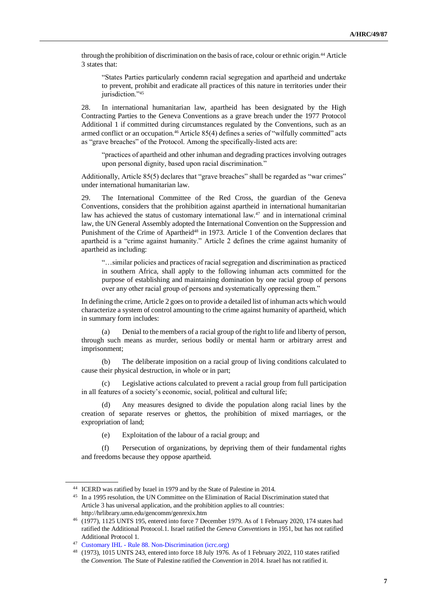through the prohibition of discrimination on the basis of race, colour or ethnic origin.<sup>44</sup> Article 3 states that:

"States Parties particularly condemn racial segregation and apartheid and undertake to prevent, prohibit and eradicate all practices of this nature in territories under their jurisdiction."45

28. In international humanitarian law, apartheid has been designated by the High Contracting Parties to the Geneva Conventions as a grave breach under the 1977 Protocol Additional 1 if committed during circumstances regulated by the Conventions, such as an armed conflict or an occupation.<sup>46</sup> Article 85(4) defines a series of "wilfully committed" acts as "grave breaches" of the Protocol. Among the specifically-listed acts are:

"practices of apartheid and other inhuman and degrading practices involving outrages upon personal dignity, based upon racial discrimination."

Additionally, Article 85(5) declares that "grave breaches" shall be regarded as "war crimes" under international humanitarian law.

29. The International Committee of the Red Cross, the guardian of the Geneva Conventions, considers that the prohibition against apartheid in international humanitarian law has achieved the status of customary international law.<sup>47</sup> and in international criminal law, the UN General Assembly adopted the International Convention on the Suppression and Punishment of the Crime of Apartheid<sup>48</sup> in 1973. Article 1 of the Convention declares that apartheid is a "crime against humanity." Article 2 defines the crime against humanity of apartheid as including:

"…similar policies and practices of racial segregation and discrimination as practiced in southern Africa, shall apply to the following inhuman acts committed for the purpose of establishing and maintaining domination by one racial group of persons over any other racial group of persons and systematically oppressing them."

In defining the crime, Article 2 goes on to provide a detailed list of inhuman acts which would characterize a system of control amounting to the crime against humanity of apartheid, which in summary form includes:

(a) Denial to the members of a racial group of the right to life and liberty of person, through such means as murder, serious bodily or mental harm or arbitrary arrest and imprisonment;

(b) The deliberate imposition on a racial group of living conditions calculated to cause their physical destruction, in whole or in part;

(c) Legislative actions calculated to prevent a racial group from full participation in all features of a society's economic, social, political and cultural life;

(d) Any measures designed to divide the population along racial lines by the creation of separate reserves or ghettos, the prohibition of mixed marriages, or the expropriation of land;

(e) Exploitation of the labour of a racial group; and

(f) Persecution of organizations, by depriving them of their fundamental rights and freedoms because they oppose apartheid.

<sup>44</sup> ICERD was ratified by Israel in 1979 and by the State of Palestine in 2014.

<sup>&</sup>lt;sup>45</sup> In a 1995 resolution, the UN Committee on the Elimination of Racial Discrimination stated that Article 3 has universal application, and the prohibition applies to all countries: http://hrlibrary.umn.edu/gencomm/genrexix.htm

<sup>46</sup> (1977), 1125 UNTS 195, entered into force 7 December 1979. As of 1 February 2020, 174 states had ratified the Additional Protocol.1. Israel ratified the *Geneva Conventions* in 1951, but has not ratified Additional Protocol 1.

<sup>47</sup> Customary IHL - [Rule 88. Non-Discrimination \(icrc.org\)](https://ihl-databases.icrc.org/customary-ihl/eng/docindex/v1_rul_rule88#:~:text=Apartheid-,Rule%2088.,other%20similar%20criteria%20is%20prohibited.)

<sup>48</sup> (1973), 1015 UNTS 243, entered into force 18 July 1976. As of 1 February 2022, 110 states ratified the *Convention.* The State of Palestine ratified the *Convention* in 2014. Israel has not ratified it.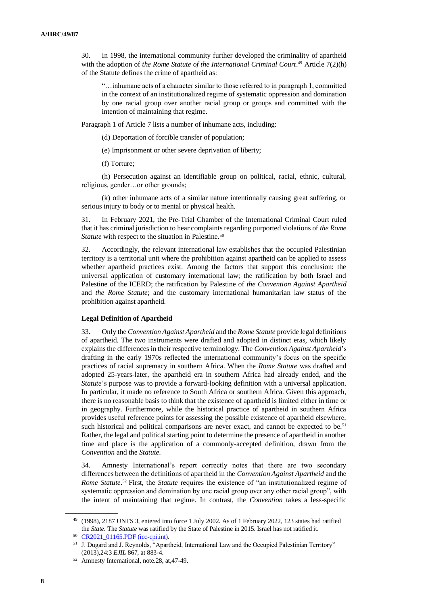30. In 1998, the international community further developed the criminality of apartheid with the adoption of *the Rome Statute of the International Criminal Court*.<sup>49</sup> Article 7(2)(h) of the Statute defines the crime of apartheid as:

"…inhumane acts of a character similar to those referred to in paragraph 1, committed in the context of an institutionalized regime of systematic oppression and domination by one racial group over another racial group or groups and committed with the intention of maintaining that regime.

Paragraph 1 of Article 7 lists a number of inhumane acts, including:

(d) Deportation of forcible transfer of population;

(e) Imprisonment or other severe deprivation of liberty;

(f) Torture;

(h) Persecution against an identifiable group on political, racial, ethnic, cultural, religious, gender…or other grounds;

(k) other inhumane acts of a similar nature intentionally causing great suffering, or serious injury to body or to mental or physical health.

31. In February 2021, the Pre-Trial Chamber of the International Criminal Court ruled that it has criminal jurisdiction to hear complaints regarding purported violations of *the Rome Statute* with respect to the situation in Palestine.<sup>50</sup>

32. Accordingly, the relevant international law establishes that the occupied Palestinian territory is a territorial unit where the prohibition against apartheid can be applied to assess whether apartheid practices exist. Among the factors that support this conclusion: the universal application of customary international law; the ratification by both Israel and Palestine of the ICERD; the ratification by Palestine of *the Convention Against Apartheid* and *the Rome Statute*; and the customary international humanitarian law status of the prohibition against apartheid.

#### **Legal Definition of Apartheid**

33. Only the *Convention Against Apartheid* and the *Rome Statute* provide legal definitions of apartheid. The two instruments were drafted and adopted in distinct eras, which likely explains the differences in their respective terminology. The *Convention Against Apartheid*'s drafting in the early 1970s reflected the international community's focus on the specific practices of racial supremacy in southern Africa. When the *Rome Statute* was drafted and adopted 25-years-later, the apartheid era in southern Africa had already ended, and the *Statute*'s purpose was to provide a forward-looking definition with a universal application. In particular, it made no reference to South Africa or southern Africa. Given this approach, there is no reasonable basis to think that the existence of apartheid is limited either in time or in geography. Furthermore, while the historical practice of apartheid in southern Africa provides useful reference points for assessing the possible existence of apartheid elsewhere, such historical and political comparisons are never exact, and cannot be expected to be.<sup>51</sup> Rather, the legal and political starting point to determine the presence of apartheid in another time and place is the application of a commonly-accepted definition, drawn from the *Convention* and the *Statute*.

34. Amnesty International's report correctly notes that there are two secondary differences between the definitions of apartheid in the *Convention Against Apartheid* and the *Rome Statute*.<sup>52</sup> First, the *Statute* requires the existence of "an institutionalized regime of systematic oppression and domination by one racial group over any other racial group", with the intent of maintaining that regime. In contrast, the *Convention* takes a less-specific

<sup>49</sup> (1998), 2187 UNTS 3, entered into force 1 July 2002. As of 1 February 2022, 123 states had ratified the *State*. The *Statute* was ratified by the State of Palestine in 2015. Israel has not ratified it.

<sup>50</sup> [CR2021\\_01165.PDF \(icc-cpi.int\).](https://www.icc-cpi.int/CourtRecords/CR2021_01165.PDF)

<sup>51</sup> J. Dugard and J. Reynolds, "Apartheid, International Law and the Occupied Palestinian Territory" (2013),24:3 *EJIL* 867, at 883-4.

<sup>52</sup> Amnesty International, note.28, at,47-49.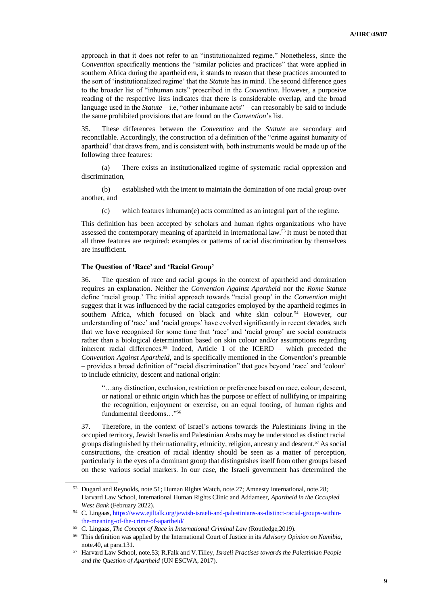approach in that it does not refer to an "institutionalized regime." Nonetheless, since the *Convention* specifically mentions the "similar policies and practices" that were applied in southern Africa during the apartheid era, it stands to reason that these practices amounted to the sort of 'institutionalized regime' that the *Statute* has in mind. The second difference goes to the broader list of "inhuman acts" proscribed in the *Convention*. However, a purposive reading of the respective lists indicates that there is considerable overlap, and the broad language used in the *Statute* – i.e, "other inhumane acts" – can reasonably be said to include the same prohibited provisions that are found on the *Convention*'s list.

35. These differences between the *Convention* and the *Statute* are secondary and reconcilable. Accordingly, the construction of a definition of the "crime against humanity of apartheid" that draws from, and is consistent with, both instruments would be made up of the following three features:

(a) There exists an institutionalized regime of systematic racial oppression and discrimination,

(b) established with the intent to maintain the domination of one racial group over another, and

(c) which features inhuman(e) acts committed as an integral part of the regime.

This definition has been accepted by scholars and human rights organizations who have assessed the contemporary meaning of apartheid in international law.<sup>53</sup> It must be noted that all three features are required: examples or patterns of racial discrimination by themselves are insufficient.

#### **The Question of 'Race' and 'Racial Group'**

36. The question of race and racial groups in the context of apartheid and domination requires an explanation. Neither the *Convention Against Apartheid* nor the *Rome Statute* define 'racial group.' The initial approach towards "racial group' in the *Convention* might suggest that it was influenced by the racial categories employed by the apartheid regimes in southern Africa, which focused on black and white skin colour.<sup>54</sup> However, our understanding of 'race' and 'racial groups' have evolved significantly in recent decades, such that we have recognized for some time that 'race' and 'racial group' are social constructs rather than a biological determination based on skin colour and/or assumptions regarding inherent racial differences.<sup>55</sup> Indeed, Article 1 of the ICERD – which preceded the *Convention Against Apartheid*, and is specifically mentioned in the *Convention*'s preamble – provides a broad definition of "racial discrimination" that goes beyond 'race' and 'colour' to include ethnicity, descent and national origin:

"…any distinction, exclusion, restriction or preference based on race, colour, descent, or national or ethnic origin which has the purpose or effect of nullifying or impairing the recognition, enjoyment or exercise, on an equal footing, of human rights and fundamental freedoms…"<sup>56</sup>

37. Therefore, in the context of Israel's actions towards the Palestinians living in the occupied territory, Jewish Israelis and Palestinian Arabs may be understood as distinct racial groups distinguished by their nationality, ethnicity, religion, ancestry and descent.<sup>57</sup> As social constructions, the creation of racial identity should be seen as a matter of perception, particularly in the eyes of a dominant group that distinguishes itself from other groups based on these various social markers. In our case, the Israeli government has determined the

<sup>53</sup> Dugard and Reynolds, note.51; Human Rights Watch, note.27; Amnesty International, note.28; Harvard Law School, International Human Rights Clinic and Addameer, *Apartheid in the Occupied West Bank* (February 2022).

<sup>54</sup> C. Lingaas, [https://www.ejiltalk.org/jewish-israeli-and-palestinians-as-distinct-racial-groups-within](https://www.ejiltalk.org/jewish-israeli-and-palestinians-as-distinct-racial-groups-within-the-meaning-of-the-crime-of-apartheid/)[the-meaning-of-the-crime-of-apartheid/](https://www.ejiltalk.org/jewish-israeli-and-palestinians-as-distinct-racial-groups-within-the-meaning-of-the-crime-of-apartheid/)

<sup>55</sup> C. Lingaas, *The Concept of Race in International Criminal Law* (Routledge,2019).

<sup>56</sup> This definition was applied by the International Court of Justice in its *Advisory Opinion on Namibia*, note.40, at para.131.

<sup>57</sup> Harvard Law School, note.53; R.Falk and V.Tilley, *Israeli Practises towards the Palestinian People and the Question of Apartheid* (UN ESCWA, 2017).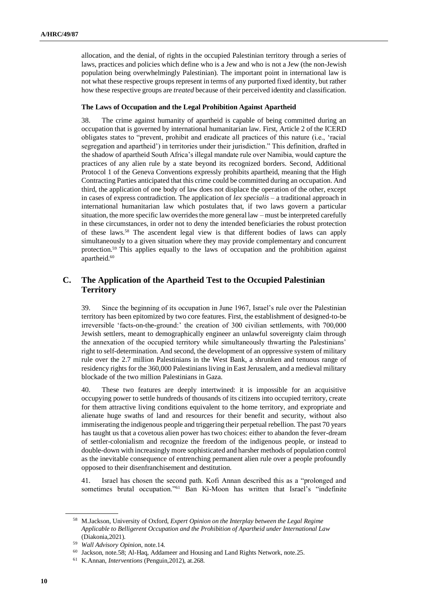allocation, and the denial, of rights in the occupied Palestinian territory through a series of laws, practices and policies which define who is a Jew and who is not a Jew (the non-Jewish population being overwhelmingly Palestinian). The important point in international law is not what these respective groups represent in terms of any purported fixed identity, but rather how these respective groups are *treated* because of their perceived identity and classification.

#### **The Laws of Occupation and the Legal Prohibition Against Apartheid**

38. The crime against humanity of apartheid is capable of being committed during an occupation that is governed by international humanitarian law. First, Article 2 of the ICERD obligates states to "prevent, prohibit and eradicate all practices of this nature (i.e., 'racial segregation and apartheid') in territories under their jurisdiction." This definition, drafted in the shadow of apartheid South Africa's illegal mandate rule over Namibia, would capture the practices of any alien rule by a state beyond its recognized borders. Second, Additional Protocol 1 of the Geneva Conventions expressly prohibits apartheid, meaning that the High Contracting Parties anticipated that this crime could be committed during an occupation. And third, the application of one body of law does not displace the operation of the other, except in cases of express contradiction. The application of *lex specialis* – a traditional approach in international humanitarian law which postulates that, if two laws govern a particular situation, the more specific law overrides the more general law – must be interpreted carefully in these circumstances, in order not to deny the intended beneficiaries the robust protection of these laws.<sup>58</sup> The ascendent legal view is that different bodies of laws can apply simultaneously to a given situation where they may provide complementary and concurrent protection.<sup>59</sup> This applies equally to the laws of occupation and the prohibition against apartheid.<sup>60</sup>

### **C. The Application of the Apartheid Test to the Occupied Palestinian Territory**

39. Since the beginning of its occupation in June 1967, Israel's rule over the Palestinian territory has been epitomized by two core features. First, the establishment of designed-to-be irreversible 'facts-on-the-ground:' the creation of 300 civilian settlements, with 700,000 Jewish settlers, meant to demographically engineer an unlawful sovereignty claim through the annexation of the occupied territory while simultaneously thwarting the Palestinians' right to self-determination. And second, the development of an oppressive system of military rule over the 2.7 million Palestinians in the West Bank, a shrunken and tenuous range of residency rights for the 360,000 Palestinians living in East Jerusalem, and a medieval military blockade of the two million Palestinians in Gaza.

40. These two features are deeply intertwined: it is impossible for an acquisitive occupying power to settle hundreds of thousands of its citizens into occupied territory, create for them attractive living conditions equivalent to the home territory, and expropriate and alienate huge swaths of land and resources for their benefit and security, without also immiserating the indigenous people and triggering their perpetual rebellion. The past 70 years has taught us that a covetous alien power has two choices: either to abandon the fever-dream of settler-colonialism and recognize the freedom of the indigenous people, or instead to double-down with increasingly more sophisticated and harsher methods of population control as the inevitable consequence of entrenching permanent alien rule over a people profoundly opposed to their disenfranchisement and destitution.

41. Israel has chosen the second path. Kofi Annan described this as a "prolonged and sometimes brutal occupation."<sup>61</sup> Ban Ki-Moon has written that Israel's "indefinite

<sup>58</sup> M.Jackson, University of Oxford, *Expert Opinion on the Interplay between the Legal Regime Applicable to Belligerent Occupation and the Prohibition of Apartheid under International Law* (Diakonia,2021).

<sup>59</sup> *Wall Advisory Opinion*, note.14.

<sup>60</sup> Jackson, note.58; Al-Haq, Addameer and Housing and Land Rights Network, note.25.

<sup>61</sup> K.Annan*, Interventions* (Penguin,2012), at.268.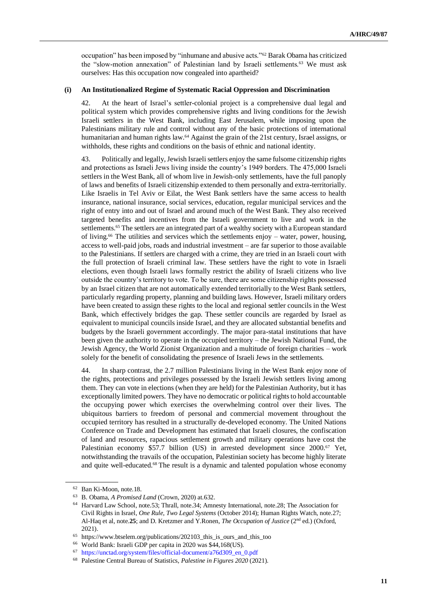occupation" has been imposed by "inhumane and abusive acts."<sup>62</sup> Barak Obama has criticized the "slow-motion annexation" of Palestinian land by Israeli settlements.<sup>63</sup> We must ask ourselves: Has this occupation now congealed into apartheid?

#### **(i) An Institutionalized Regime of Systematic Racial Oppression and Discrimination**

42. At the heart of Israel's settler-colonial project is a comprehensive dual legal and political system which provides comprehensive rights and living conditions for the Jewish Israeli settlers in the West Bank, including East Jerusalem, while imposing upon the Palestinians military rule and control without any of the basic protections of international humanitarian and human rights law.<sup>64</sup> Against the grain of the 21st century, Israel assigns, or withholds, these rights and conditions on the basis of ethnic and national identity.

43. Politically and legally, Jewish Israeli settlers enjoy the same fulsome citizenship rights and protections as Israeli Jews living inside the country's 1949 borders. The 475,000 Israeli settlers in the West Bank, all of whom live in Jewish-only settlements, have the full panoply of laws and benefits of Israeli citizenship extended to them personally and extra-territorially. Like Israelis in Tel Aviv or Eilat, the West Bank settlers have the same access to health insurance, national insurance, social services, education, regular municipal services and the right of entry into and out of Israel and around much of the West Bank. They also received targeted benefits and incentives from the Israeli government to live and work in the settlements.<sup>65</sup> The settlers are an integrated part of a wealthy society with a European standard of living.<sup>66</sup> The utilities and services which the settlements enjoy – water, power, housing, access to well-paid jobs, roads and industrial investment – are far superior to those available to the Palestinians. If settlers are charged with a crime, they are tried in an Israeli court with the full protection of Israeli criminal law. These settlers have the right to vote in Israeli elections, even though Israeli laws formally restrict the ability of Israeli citizens who live outside the country's territory to vote. To be sure, there are some citizenship rights possessed by an Israel citizen that are not automatically extended territorially to the West Bank settlers, particularly regarding property, planning and building laws. However, Israeli military orders have been created to assign these rights to the local and regional settler councils in the West Bank, which effectively bridges the gap. These settler councils are regarded by Israel as equivalent to municipal councils inside Israel, and they are allocated substantial benefits and budgets by the Israeli government accordingly. The major para-statal institutions that have been given the authority to operate in the occupied territory – the Jewish National Fund, the Jewish Agency, the World Zionist Organization and a multitude of foreign charities – work solely for the benefit of consolidating the presence of Israeli Jews in the settlements.

44. In sharp contrast, the 2.7 million Palestinians living in the West Bank enjoy none of the rights, protections and privileges possessed by the Israeli Jewish settlers living among them. They can vote in elections (when they are held) for the Palestinian Authority, but it has exceptionally limited powers. They have no democratic or political rights to hold accountable the occupying power which exercises the overwhelming control over their lives. The ubiquitous barriers to freedom of personal and commercial movement throughout the occupied territory has resulted in a structurally de-developed economy. The United Nations Conference on Trade and Development has estimated that Israeli closures, the confiscation of land and resources, rapacious settlement growth and military operations have cost the Palestinian economy \$57.7 billion (US) in arrested development since 2000.<sup>67</sup> Yet, notwithstanding the travails of the occupation, Palestinian society has become highly literate and quite well-educated.<sup>68</sup> The result is a dynamic and talented population whose economy

<sup>62</sup> Ban Ki-Moon, note.18.

<sup>63</sup> B. Obama, *A Promised Land* (Crown, 2020) at.632.

<sup>64</sup> Harvard Law School, note.53; Thrall, note.34; Amnesty International, note.28; The Association for Civil Rights in Israel, *One Rule, Two Legal Systems* (October 2014); Human Rights Watch, note.27; Al-Haq et al, note.**25**; and D. Kretzmer and Y.Ronen, *The Occupation of Justice* (2nd ed.) (Oxford, 2021).

<sup>65</sup> https://www.btselem.org/publications/202103\_this\_is\_ours\_and\_this\_too

<sup>66</sup> World Bank: Israeli GDP per capita in 2020 was \$44,168(US).

<sup>67</sup> [https://unctad.org/system/files/official-document/a76d309\\_en\\_0.pdf](https://unctad.org/system/files/official-document/a76d309_en_0.pdf)

<sup>68</sup> Palestine Central Bureau of Statistics, *Palestine in Figures 2020* (2021).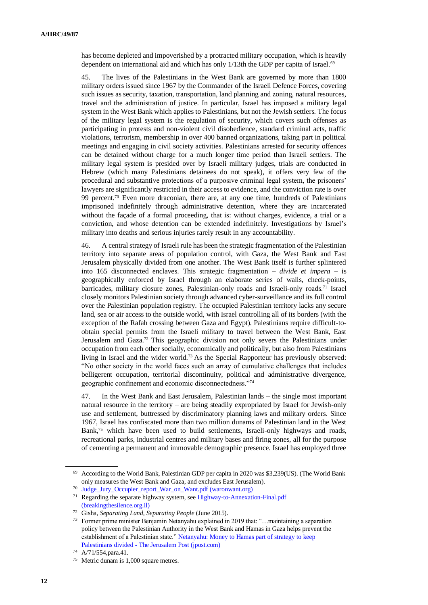has become depleted and impoverished by a protracted military occupation, which is heavily dependent on international aid and which has only 1/13th the GDP per capita of Israel.<sup>69</sup>

45. The lives of the Palestinians in the West Bank are governed by more than 1800 military orders issued since 1967 by the Commander of the Israeli Defence Forces, covering such issues as security, taxation, transportation, land planning and zoning, natural resources, travel and the administration of justice. In particular, Israel has imposed a military legal system in the West Bank which applies to Palestinians, but not the Jewish settlers. The focus of the military legal system is the regulation of security, which covers such offenses as participating in protests and non-violent civil disobedience, standard criminal acts, traffic violations, terrorism, membership in over 400 banned organizations, taking part in political meetings and engaging in civil society activities. Palestinians arrested for security offences can be detained without charge for a much longer time period than Israeli settlers. The military legal system is presided over by Israeli military judges, trials are conducted in Hebrew (which many Palestinians detainees do not speak), it offers very few of the procedural and substantive protections of a purposive criminal legal system, the prisoners' lawyers are significantly restricted in their access to evidence, and the conviction rate is over 99 percent.<sup>70</sup> Even more draconian, there are, at any one time, hundreds of Palestinians imprisoned indefinitely through administrative detention, where they are incarcerated without the façade of a formal proceeding, that is: without charges, evidence, a trial or a conviction, and whose detention can be extended indefinitely. Investigations by Israel's military into deaths and serious injuries rarely result in any accountability.

46. A central strategy of Israeli rule has been the strategic fragmentation of the Palestinian territory into separate areas of population control, with Gaza, the West Bank and East Jerusalem physically divided from one another. The West Bank itself is further splintered into 165 disconnected enclaves. This strategic fragmentation – *divide et impera* – is geographically enforced by Israel through an elaborate series of walls, check-points, barricades, military closure zones, Palestinian-only roads and Israeli-only roads.<sup>71</sup> Israel closely monitors Palestinian society through advanced cyber-surveillance and its full control over the Palestinian population registry. The occupied Palestinian territory lacks any secure land, sea or air access to the outside world, with Israel controlling all of its borders (with the exception of the Rafah crossing between Gaza and Egypt). Palestinians require difficult-toobtain special permits from the Israeli military to travel between the West Bank, East Jerusalem and Gaza.<sup>72</sup> This geographic division not only severs the Palestinians under occupation from each other socially, economically and politically, but also from Palestinians living in Israel and the wider world.<sup>73</sup> As the Special Rapporteur has previously observed: "No other society in the world faces such an array of cumulative challenges that includes belligerent occupation, territorial discontinuity, political and administrative divergence, geographic confinement and economic disconnectedness."<sup>74</sup>

47. In the West Bank and East Jerusalem, Palestinian lands – the single most important natural resource in the territory – are being steadily expropriated by Israel for Jewish-only use and settlement, buttressed by discriminatory planning laws and military orders. Since 1967, Israel has confiscated more than two million dunams of Palestinian land in the West Bank,<sup>75</sup> which have been used to build settlements, Israeli-only highways and roads, recreational parks, industrial centres and military bases and firing zones, all for the purpose of cementing a permanent and immovable demographic presence. Israel has employed three

<sup>69</sup> According to the World Bank, Palestinian GDP per capita in 2020 was \$3,239(US). (The World Bank only measures the West Bank and Gaza, and excludes East Jerusalem).

<sup>70</sup> [Judge\\_Jury\\_Occupier\\_report\\_War\\_on\\_Want.pdf \(waronwant.org\)](https://waronwant.org/sites/default/files/2021-03/Judge_Jury_Occupier_report_War_on_Want.pdf)

<sup>&</sup>lt;sup>71</sup> Regarding the separate highway system, see Highway-to-Annexation-Final.pdf [\(breakingthesilence.org.il\)](https://www.breakingthesilence.org.il/inside/wp-content/uploads/2020/12/Highway-to-Annexation-Final.pdf)

<sup>72</sup> Gisha, *Separating Land, Separating People* (June 2015).

<sup>73</sup> Former prime minister Benjamin Netanyahu explained in 2019 that: "…maintaining a separation policy between the Palestinian Authority in the West Bank and Hamas in Gaza helps prevent the establishment of a Palestinian state." [Netanyahu: Money to Hamas part of strategy to keep](https://www.jpost.com/arab-israeli-conflict/netanyahu-money-to-hamas-part-of-strategy-to-keep-palestinians-divided-583082)  Palestinians divided - [The Jerusalem Post \(jpost.com\)](https://www.jpost.com/arab-israeli-conflict/netanyahu-money-to-hamas-part-of-strategy-to-keep-palestinians-divided-583082)

<sup>74</sup> A/71/554,para.41.

<sup>75</sup> Metric dunam is 1,000 square metres.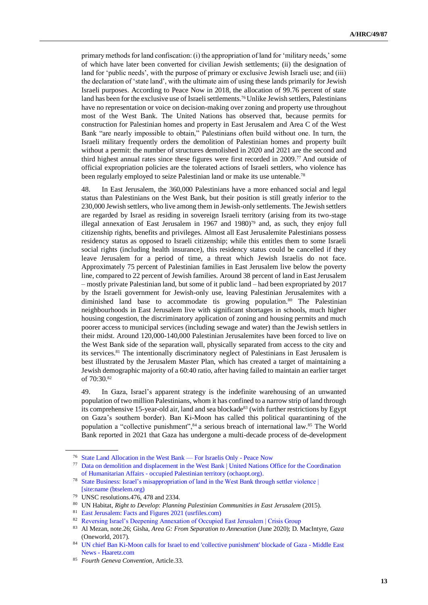primary methods for land confiscation: (i) the appropriation of land for 'military needs,' some of which have later been converted for civilian Jewish settlements; (ii) the designation of land for 'public needs', with the purpose of primary or exclusive Jewish Israeli use; and (iii) the declaration of 'state land', with the ultimate aim of using these lands primarily for Jewish Israeli purposes. According to Peace Now in 2018, the allocation of 99.76 percent of state land has been for the exclusive use of Israeli settlements.<sup>76</sup> Unlike Jewish settlers, Palestinians have no representation or voice on decision-making over zoning and property use throughout most of the West Bank. The United Nations has observed that, because permits for construction for Palestinian homes and property in East Jerusalem and Area C of the West Bank "are nearly impossible to obtain," Palestinians often build without one. In turn, the Israeli military frequently orders the demolition of Palestinian homes and property built without a permit: the number of structures demolished in 2020 and 2021 are the second and third highest annual rates since these figures were first recorded in 2009.<sup>77</sup> And outside of official expropriation policies are the tolerated actions of Israeli settlers, who violence has been regularly employed to seize Palestinian land or make its use untenable.<sup>78</sup>

48. In East Jerusalem, the 360,000 Palestinians have a more enhanced social and legal status than Palestinians on the West Bank, but their position is still greatly inferior to the 230,000 Jewish settlers, who live among them in Jewish-only settlements. The Jewish settlers are regarded by Israel as residing in sovereign Israeli territory (arising from its two-stage illegal annexation of East Jerusalem in 1967 and  $1980$ <sup>79</sup> and, as such, they enjoy full citizenship rights, benefits and privileges. Almost all East Jerusalemite Palestinians possess residency status as opposed to Israeli citizenship; while this entitles them to some Israeli social rights (including health insurance), this residency status could be cancelled if they leave Jerusalem for a period of time, a threat which Jewish Israelis do not face. Approximately 75 percent of Palestinian families in East Jerusalem live below the poverty line, compared to 22 percent of Jewish families. Around 38 percent of land in East Jerusalem – mostly private Palestinian land, but some of it public land – had been expropriated by 2017 by the Israeli government for Jewish-only use, leaving Palestinian Jerusalemites with a diminished land base to accommodate tis growing population.<sup>80</sup> The Palestinian neighbourhoods in East Jerusalem live with significant shortages in schools, much higher housing congestion, the discriminatory application of zoning and housing permits and much poorer access to municipal services (including sewage and water) than the Jewish settlers in their midst. Around 120,000-140,000 Palestinian Jerusalemites have been forced to live on the West Bank side of the separation wall, physically separated from access to the city and its services.<sup>81</sup> The intentionally discriminatory neglect of Palestinians in East Jerusalem is best illustrated by the Jerusalem Master Plan, which has created a target of maintaining a Jewish demographic majority of a 60:40 ratio, after having failed to maintain an earlier target of 70:30.<sup>82</sup>

49. In Gaza, Israel's apparent strategy is the indefinite warehousing of an unwanted population of two million Palestinians, whom it has confined to a narrow strip of land through its comprehensive 15-year-old air, land and sea blockade<sup>83</sup> (with further restrictions by Egypt on Gaza's southern border). Ban Ki-Moon has called this political quarantining of the population a "collective punishment",<sup>84</sup> a serious breach of international law.<sup>85</sup> The World Bank reported in 2021 that Gaza has undergone a multi-decade process of de-development

<sup>76</sup> [State Land Allocation in the West Bank —](https://peacenow.org.il/en/state-land-allocation-west-bank-israelis) For Israelis Only - Peace Now

<sup>77</sup> [Data on demolition and displacement in the West Bank | United Nations Office for the Coordination](https://www.ochaopt.org/data/demolition)  of Humanitarian Affairs - [occupied Palestinian territory \(ochaopt.org\).](https://www.ochaopt.org/data/demolition)

<sup>78</sup> [State Business: Israel's misappropriation of land in the West Bank through settler violence |](https://www.btselem.org/publications/202111_state_business)  [\[site:name \(btselem.org\)](https://www.btselem.org/publications/202111_state_business)

<sup>79</sup> UNSC resolutions.476, 478 and 2334.

<sup>80</sup> UN Habitat, *Right to Develop: Planning Palestinian Communities in East Jerusalem* (2015).

<sup>81</sup> [East Jerusalem: Facts and Figures 2021 \(usrfiles.com\)](https://01368b10-57e4-4138-acc3-01373134d221.usrfiles.com/ugd/01368b_38b8a5ddcca54bdabee6d68f0cf17ba9.pdf)

<sup>82</sup> [Reversing Israel's Deepening Annexation of Occupied East Jerusalem | Crisis Group](https://www.crisisgroup.org/middle-east-north-africa/eastern-mediterranean/israelpalestine/202-reversing-israels-deepening-annexation-occupied-east-jerusalem)

<sup>83</sup> Al Mezan, note.26; Gisha, *Area G: From Separation to Annexation* (June 2020); D. MacIntyre, *Gaza* (Oneworld, 2017).

<sup>84</sup> [UN chief Ban Ki-Moon calls for Israel to end 'collective punishment' blockade of Gaza -](https://www.haaretz.com/middle-east-news/ban-ki-moon-calls-for-israel-to-end-blockade-of-gaza-1.5403162) Middle East News - [Haaretz.com](https://www.haaretz.com/middle-east-news/ban-ki-moon-calls-for-israel-to-end-blockade-of-gaza-1.5403162)

<sup>85</sup> *Fourth Geneva Convention*, Article.33.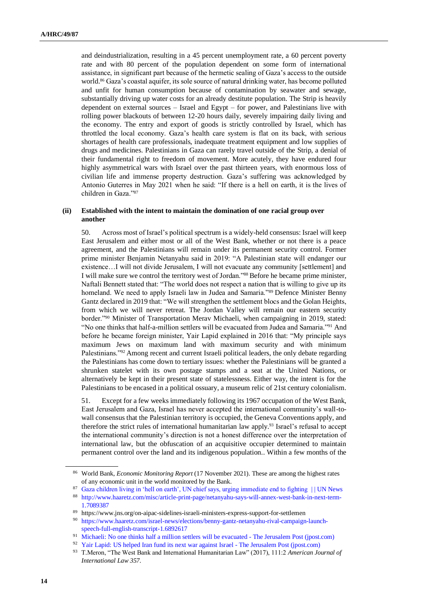and deindustrialization, resulting in a 45 percent unemployment rate, a 60 percent poverty rate and with 80 percent of the population dependent on some form of international assistance, in significant part because of the hermetic sealing of Gaza's access to the outside world.<sup>86</sup> Gaza's coastal aquifer, its sole source of natural drinking water, has become polluted and unfit for human consumption because of contamination by seawater and sewage, substantially driving up water costs for an already destitute population. The Strip is heavily dependent on external sources – Israel and Egypt – for power, and Palestinians live with rolling power blackouts of between 12-20 hours daily, severely impairing daily living and the economy. The entry and export of goods is strictly controlled by Israel, which has throttled the local economy. Gaza's health care system is flat on its back, with serious shortages of health care professionals, inadequate treatment equipment and low supplies of drugs and medicines. Palestinians in Gaza can rarely travel outside of the Strip, a denial of their fundamental right to freedom of movement. More acutely, they have endured four highly asymmetrical wars with Israel over the past thirteen years, with enormous loss of civilian life and immense property destruction. Gaza's suffering was acknowledged by Antonio Guterres in May 2021 when he said: "If there is a hell on earth, it is the lives of children in Gaza."<sup>87</sup>

#### **(ii) Established with the intent to maintain the domination of one racial group over another**

50. Across most of Israel's political spectrum is a widely-held consensus: Israel will keep East Jerusalem and either most or all of the West Bank, whether or not there is a peace agreement, and the Palestinians will remain under its permanent security control. Former prime minister Benjamin Netanyahu said in 2019: "A Palestinian state will endanger our existence…I will not divide Jerusalem, I will not evacuate any community [settlement] and I will make sure we control the territory west of Jordan."<sup>88</sup> Before he became prime minister, Naftali Bennett stated that: "The world does not respect a nation that is willing to give up its homeland. We need to apply Israeli law in Judea and Samaria."<sup>89</sup> Defence Minister Benny Gantz declared in 2019 that: "We will strengthen the settlement blocs and the Golan Heights, from which we will never retreat. The Jordan Valley will remain our eastern security border."<sup>90</sup> Minister of Transportation Merav Michaeli, when campaigning in 2019, stated: "No one thinks that half-a-million settlers will be evacuated from Judea and Samaria."<sup>91</sup> And before he became foreign minister, Yair Lapid explained in 2016 that: "My principle says maximum Jews on maximum land with maximum security and with minimum Palestinians."<sup>92</sup> Among recent and current Israeli political leaders, the only debate regarding the Palestinians has come down to tertiary issues: whether the Palestinians will be granted a shrunken statelet with its own postage stamps and a seat at the United Nations, or alternatively be kept in their present state of statelessness. Either way, the intent is for the Palestinians to be encased in a political ossuary, a museum relic of 21st century colonialism.

51. Except for a few weeks immediately following its 1967 occupation of the West Bank, East Jerusalem and Gaza, Israel has never accepted the international community's wall-towall consensus that the Palestinian territory is occupied, the Geneva Conventions apply, and therefore the strict rules of international humanitarian law apply.<sup>93</sup> Israel's refusal to accept the international community's direction is not a honest difference over the interpretation of international law, but the obfuscation of an acquisitive occupier determined to maintain permanent control over the land and its indigenous population.. Within a few months of the

<sup>86</sup> World Bank, *Economic Monitoring Report* (17 November 2021). These are among the highest rates of any economic unit in the world monitored by the Bank.

<sup>87</sup> [Gaza children living in 'hell on earth', UN chief says, urging immediate end to fighting](https://news.un.org/en/story/2021/05/1092332#:~:text=%E2%80%9CIf%20there%20is%20a%20hell,including%2060%20children%2C%20and%20injured) | | UN News <sup>88</sup> [http://www.haaretz.com/misc/article-print-page/netanyahu-says-will-annex-west-bank-in-next-term-](http://www.haaretz.com/misc/article-print-page/netanyahu-says-will-annex-west-bank-in-next-term-1.7089387)[1.7089387](http://www.haaretz.com/misc/article-print-page/netanyahu-says-will-annex-west-bank-in-next-term-1.7089387)

<sup>89</sup> https://www.jns.org/on-aipac-sidelines-israeli-ministers-express-support-for-settlemen

<sup>90</sup> [https://www.haaretz.com/israel-news/elections/benny-gantz-netanyahu-rival-campaign-launch](https://www.haaretz.com/israel-news/elections/benny-gantz-netanyahu-rival-campaign-launch-speech-full-english-transcript-1.6892617)[speech-full-english-transcript-1.6892617](https://www.haaretz.com/israel-news/elections/benny-gantz-netanyahu-rival-campaign-launch-speech-full-english-transcript-1.6892617)

<sup>&</sup>lt;sup>91</sup> [Michaeli: No one thinks half a million settlers will be evacuated -](https://www.jpost.com/israel-news/labor-party-head-no-one-thinks-half-a-million-settlers-will-be-removed-661353) The Jerusalem Post (jpost.com)

<sup>&</sup>lt;sup>92</sup> [Yair Lapid: US helped Iran fund its next war against Israel -](https://www.jpost.com/israel-news/politics-and-diplomacy/lapid-us-helped-iran-fund-its-next-war-against-israel-442791) The Jerusalem Post (jpost.com)

<sup>93</sup> T.Meron, "The West Bank and International Humanitarian Law" (2017), 111:2 *American Journal of International Law 357.*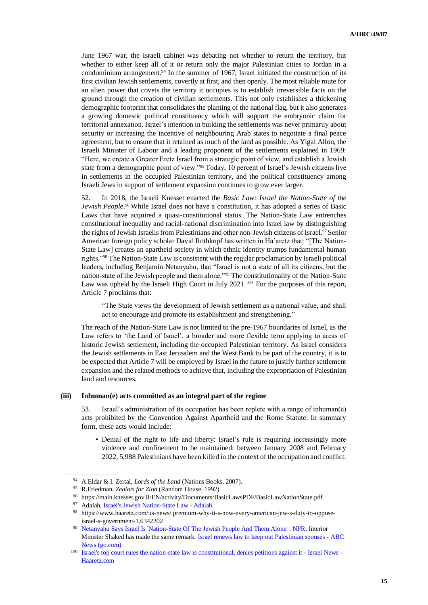June 1967 war, the Israeli cabinet was debating not whether to return the territory, but whether to either keep all of it or return only the major Palestinian cities to Jordan in a condominium arrangement.<sup>94</sup> In the summer of 1967, Israel initiated the construction of its first civilian Jewish settlements, covertly at first, and then openly. The most reliable route for an alien power that covets the territory it occupies is to establish irreversible facts on the ground through the creation of civilian settlements. This not only establishes a thickening demographic footprint that consolidates the planting of the national flag, but it also generates a growing domestic political constituency which will support the embryonic claim for territorial annexation. Israel's intention in building the settlements was never primarily about security or increasing the incentive of neighbouring Arab states to negotiate a final peace agreement, but to ensure that it retained as much of the land as possible. As Yigal Allon, the Israeli Minister of Labour and a leading proponent of the settlements explained in 1969: "Here, we create a Greater Eretz Israel from a strategic point of view, and establish a Jewish state from a demographic point of view."<sup>95</sup> Today, 10 percent of Israel's Jewish citizens live in settlements in the occupied Palestinian territory, and the political constituency among Israeli Jews in support of settlement expansion continues to grow ever larger.

52. In 2018, the Israeli Knesset enacted the *Basic Law: Israel the Nation-State of the Jewish People*. <sup>96</sup> While Israel does not have a constitution, it has adopted a series of Basic Laws that have acquired a quasi-constitutional status. The Nation-State Law entrenches constitutional inequality and racial-national discrimination into Israel law by distinguishing the rights of Jewish Israelis from Palestinians and other non-Jewish citizens of Israel.<sup>97</sup> Senior American foreign policy scholar David Rothkopf has written in Ha'aretz that: "[The Nation-State Law] creates an apartheid society in which ethnic identity trumps fundamental human rights."<sup>98</sup> The Nation-State Law is consistent with the regular proclamation by Israeli political leaders, including Benjamin Netanyahu, that "Israel is not a state of all its citizens, but the nation-state of the Jewish people and them alone."<sup>99</sup> The constitutionality of the Nation-State Law was upheld by the Israeli High Court in July 2021.<sup>100</sup> For the purposes of this report, Article 7 proclaims that:

"The State views the development of Jewish settlement as a national value, and shall act to encourage and promote its establishment and strengthening."

The reach of the Nation-State Law is not limited to the pre-1967 boundaries of Israel, as the Law refers to 'the Land of Israel', a broader and more flexible term applying to areas of historic Jewish settlement, including the occupied Palestinian territory. As Israel considers the Jewish settlements in East Jerusalem and the West Bank to be part of the country, it is to be expected that Article 7 will be employed by Israel in the future to justify further settlement expansion and the related methods to achieve that, including the expropriation of Palestinian land and resources.

#### **(iii) Inhuman(e) acts committed as an integral part of the regime**

53. Israel's administration of its occupation has been replete with a range of inhuman(e) acts prohibited by the Convention Against Apartheid and the Rome Statute. In summary form, these acts would include:

• Denial of the right to life and liberty: Israel's rule is requiring increasingly more violence and confinement to be maintained: between January 2008 and February 2022, 5,988 Palestinians have been killed in the context of the occupation and conflict.

<sup>94</sup> A.Eldar & I. Zertal, *Lords of the Land* (Nations Books, 2007).

<sup>95</sup> R.Friedman, *Zealots for Zion* (Random House, 1992).

<sup>96</sup> https://main.knesset.gov.il/EN/activity/Documents/BasicLawsPDF/BasicLawNationState.pdf

<sup>97</sup> Adalah, [Israel's Jewish Nation-State Law -](https://www.adalah.org/en/content/view/9569) Adalah.

<sup>98</sup> https://www.haaretz.com/us-news/.premium-why-it-s-now-every-american-jew-s-duty-to-opposeisrael-s-government-1.6342202

<sup>99</sup> [Netanyahu Says Israel Is 'Nation-State Of The Jewish People And Them Alone' : NPR.](https://www.npr.org/2019/03/11/702264118/netanyahu-says-israel-is-nation-state-of-the-jewish-people-and-them-alone) Interior Minister Shaked has made the same remark: [Israel renews law to keep out Palestinian spouses -](https://abcnews.go.com/International/wireStory/israel-renews-law-palestinian-spouses-83384115) ABC [News \(go.com\)](https://abcnews.go.com/International/wireStory/israel-renews-law-palestinian-spouses-83384115)

<sup>&</sup>lt;sup>100</sup> [Israel's top court rules the nation-state law is constitutional, denies petitions against it -](https://www.haaretz.com/israel-news/.premium-high-court-rules-nation-state-law-is-constitutional-denies-petitions-against-it-1.9982856) Israel News -[Haaretz.com](https://www.haaretz.com/israel-news/.premium-high-court-rules-nation-state-law-is-constitutional-denies-petitions-against-it-1.9982856)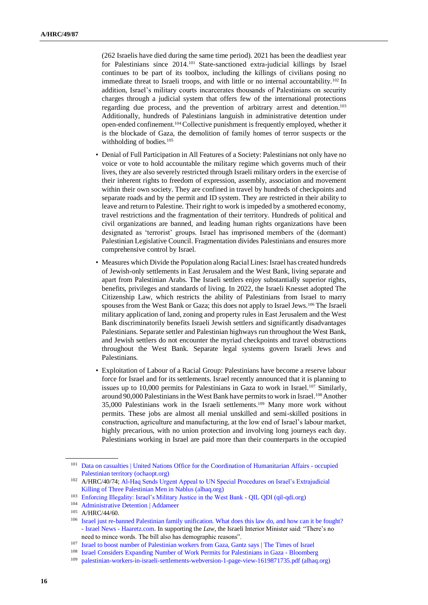(262 Israelis have died during the same time period). 2021 has been the deadliest year for Palestinians since 2014.<sup>101</sup> State-sanctioned extra-judicial killings by Israel continues to be part of its toolbox, including the killings of civilians posing no immediate threat to Israeli troops, and with little or no internal accountability.<sup>102</sup> In addition, Israel's military courts incarcerates thousands of Palestinians on security charges through a judicial system that offers few of the international protections regarding due process, and the prevention of arbitrary arrest and detention.<sup>103</sup> Additionally, hundreds of Palestinians languish in administrative detention under open-ended confinement.104Collective punishment is frequently employed, whether it is the blockade of Gaza, the demolition of family homes of terror suspects or the withholding of bodies.<sup>105</sup>

- Denial of Full Participation in All Features of a Society: Palestinians not only have no voice or vote to hold accountable the military regime which governs much of their lives, they are also severely restricted through Israeli military orders in the exercise of their inherent rights to freedom of expression, assembly, association and movement within their own society. They are confined in travel by hundreds of checkpoints and separate roads and by the permit and ID system. They are restricted in their ability to leave and return to Palestine. Their right to work is impeded by a smothered economy, travel restrictions and the fragmentation of their territory. Hundreds of political and civil organizations are banned, and leading human rights organizations have been designated as 'terrorist' groups. Israel has imprisoned members of the (dormant) Palestinian Legislative Council. Fragmentation divides Palestinians and ensures more comprehensive control by Israel.
- Measures which Divide the Population along Racial Lines: Israel has created hundreds of Jewish-only settlements in East Jerusalem and the West Bank, living separate and apart from Palestinian Arabs. The Israeli settlers enjoy substantially superior rights, benefits, privileges and standards of living. In 2022, the Israeli Knesset adopted The Citizenship Law, which restricts the ability of Palestinians from Israel to marry spouses from the West Bank or Gaza; this does not apply to Israel Jews.<sup>106</sup> The Israeli military application of land, zoning and property rules in East Jerusalem and the West Bank discriminatorily benefits Israeli Jewish settlers and significantly disadvantages Palestinians. Separate settler and Palestinian highways run throughout the West Bank, and Jewish settlers do not encounter the myriad checkpoints and travel obstructions throughout the West Bank. Separate legal systems govern Israeli Jews and Palestinians.
- Exploitation of Labour of a Racial Group: Palestinians have become a reserve labour force for Israel and for its settlements. Israel recently announced that it is planning to issues up to 10,000 permits for Palestinians in Gaza to work in Israel.<sup>107</sup> Similarly, around 90,000 Palestinians in the West Bank have permits to work in Israel.<sup>108</sup> Another 35,000 Palestinians work in the Israeli settlements.<sup>109</sup> Many more work without permits. These jobs are almost all menial unskilled and semi-skilled positions in construction, agriculture and manufacturing, at the low end of Israel's labour market, highly precarious, with no union protection and involving long journeys each day. Palestinians working in Israel are paid more than their counterparts in the occupied

<sup>101</sup> [Data on casualties | United Nations Office for the Coordination of Humanitarian Affairs -](https://www.ochaopt.org/data/casualties) occupied [Palestinian territory \(ochaopt.org\)](https://www.ochaopt.org/data/casualties)

<sup>102</sup> A/HRC/40/74[; Al-Haq Sends Urgent Appeal to UN Special Procedures on Israel's Extrajudicial](https://www.alhaq.org/advocacy/19710.html)  [Killing of Three Palestinian Men in Nablus \(alhaq.org\)](https://www.alhaq.org/advocacy/19710.html)

<sup>103</sup> [Enforcing Illegality: Israel's Military Justice in the West Bank -](http://www.qil-qdi.org/enforcing-illegality-israels-military-justice-in-the-west-bank/) QIL QDI (qil-qdi.org)

<sup>104</sup> [Administrative Detention | Addameer](https://www.addameer.org/israeli_military_judicial_system/administrative_detention#:~:text=Administrative%20detention%20is%20a%20procedure,allowing%20them%20to%20stand%20trial.)

<sup>105</sup> A/HRC/44/60.

<sup>106</sup> [Israel just re-banned Palestinian family unification. What does this law do, and how can it be fought?](https://www.haaretz.com/israel-news/.premium-what-s-new-in-the-citizenship-law-what-s-the-next-step-in-fighting-it-1.10670464)  - Israel News - [Haaretz.com.](https://www.haaretz.com/israel-news/.premium-what-s-new-in-the-citizenship-law-what-s-the-next-step-in-fighting-it-1.10670464) In supporting the *Law*, the Israeli Interior Minister said: "There's no need to mince words. The bill also has demographic reasons".

<sup>107</sup> [Israel to boost number of Palestinian workers from Gaza, Gantz says | The Times of Israel](https://www.timesofisrael.com/israel-to-boost-number-of-palestinian-workers-from-gaza-gantz-says/)

<sup>108</sup> Israel Considers [Expanding Number of Work Permits for Palestinians in Gaza -](https://www.bloomberg.com/news/articles/2022-01-18/israel-considering-expanding-number-of-work-permits-for-gazans) Bloomberg

<sup>109</sup> [palestinian-workers-in-israeli-settlements-webversion-1-page-view-1619871735.pdf \(alhaq.org\)](https://www.alhaq.org/cached_uploads/download/2021/05/01/palestinian-workers-in-israeli-settlements-webversion-1-page-view-1619871735.pdf)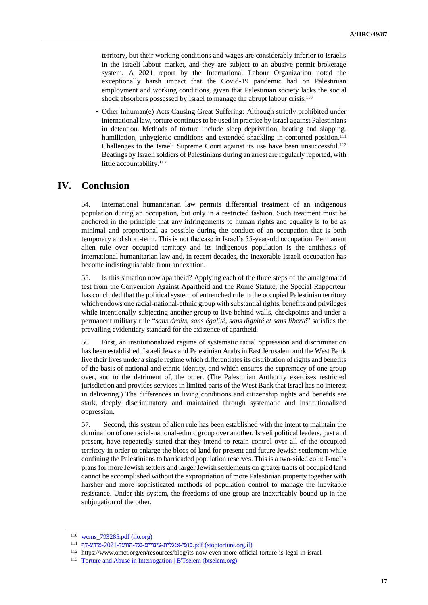territory, but their working conditions and wages are considerably inferior to Israelis in the Israeli labour market, and they are subject to an abusive permit brokerage system. A 2021 report by the International Labour Organization noted the exceptionally harsh impact that the Covid-19 pandemic had on Palestinian employment and working conditions, given that Palestinian society lacks the social shock absorbers possessed by Israel to manage the abrupt labour crisis.<sup>110</sup>

• Other Inhuman(e) Acts Causing Great Suffering: Although strictly prohibited under international law, torture continues to be used in practice by Israel against Palestinians in detention. Methods of torture include sleep deprivation, beating and slapping, humiliation, unhygienic conditions and extended shackling in contorted position.<sup>111</sup> Challenges to the Israeli Supreme Court against its use have been unsuccessful.<sup>112</sup> Beatings by Israeli soldiers of Palestinians during an arrest are regularly reported, with little accountability.<sup>113</sup>

## **IV. Conclusion**

54. International humanitarian law permits differential treatment of an indigenous population during an occupation, but only in a restricted fashion. Such treatment must be anchored in the principle that any infringements to human rights and equality is to be as minimal and proportional as possible during the conduct of an occupation that is both temporary and short-term. This is not the case in Israel's 55-year-old occupation. Permanent alien rule over occupied territory and its indigenous population is the antithesis of international humanitarian law and, in recent decades, the inexorable Israeli occupation has become indistinguishable from annexation.

55. Is this situation now apartheid? Applying each of the three steps of the amalgamated test from the Convention Against Apartheid and the Rome Statute, the Special Rapporteur has concluded that the political system of entrenched rule in the occupied Palestinian territory which endows one racial-national-ethnic group with substantial rights, benefits and privileges while intentionally subjecting another group to live behind walls, checkpoints and under a permanent military rule "*sans droits, sans égalité, sans dignité et sans liberté*" satisfies the prevailing evidentiary standard for the existence of apartheid.

56. First, an institutionalized regime of systematic racial oppression and discrimination has been established. Israeli Jews and Palestinian Arabs in East Jerusalem and the West Bank live their lives under a single regime which differentiates its distribution of rights and benefits of the basis of national and ethnic identity, and which ensures the supremacy of one group over, and to the detriment of, the other. (The Palestinian Authority exercises restricted jurisdiction and provides services in limited parts of the West Bank that Israel has no interest in delivering.) The differences in living conditions and citizenship rights and benefits are stark, deeply discriminatory and maintained through systematic and institutionalized oppression.

57. Second, this system of alien rule has been established with the intent to maintain the domination of one racial-national-ethnic group over another. Israeli political leaders, past and present, have repeatedly stated that they intend to retain control over all of the occupied territory in order to enlarge the blocs of land for present and future Jewish settlement while confining the Palestinians to barricaded population reserves. This is a two-sided coin: Israel's plans for more Jewish settlers and larger Jewish settlements on greater tracts of occupied land cannot be accomplished without the expropriation of more Palestinian property together with harsher and more sophisticated methods of population control to manage the inevitable resistance. Under this system, the freedoms of one group are inextricably bound up in the subjugation of the other.

<sup>110</sup> [wcms\\_793285.pdf \(ilo.org\)](https://www.ilo.org/wcmsp5/groups/public/---ed_norm/---relconf/documents/meetingdocument/wcms_793285.pdf)

 $^{111}$ .org.stoptorture.org.il) סופי-אנגלית-עינויים-נגד-הוועד-2021-מידע-דף.

<sup>112</sup> https://www.omct.org/en/resources/blog/its-now-even-more-official-torture-is-legal-in-israel

<sup>113</sup> [Torture and Abuse in Interrogation | B'Tselem \(btselem.org\)](https://www.btselem.org/torture)